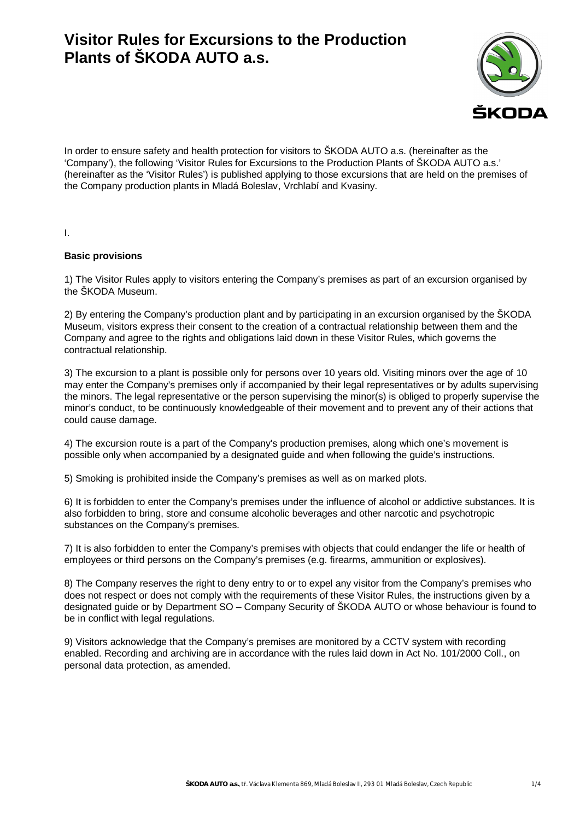# **Visitor Rules for Excursions to the Production Plants of ŠKODA AUTO a.s.**



In order to ensure safety and health protection for visitors to ŠKODA AUTO a.s. (hereinafter as the 'Company'), the following 'Visitor Rules for Excursions to the Production Plants of ŠKODA AUTO a.s.' (hereinafter as the 'Visitor Rules') is published applying to those excursions that are held on the premises of the Company production plants in Mladá Boleslav, Vrchlabí and Kvasiny.

I.

## **Basic provisions**

1) The Visitor Rules apply to visitors entering the Company's premises as part of an excursion organised by the ŠKODA Museum.

2) By entering the Company's production plant and by participating in an excursion organised by the ŠKODA Museum, visitors express their consent to the creation of a contractual relationship between them and the Company and agree to the rights and obligations laid down in these Visitor Rules, which governs the contractual relationship.

3) The excursion to a plant is possible only for persons over 10 years old. Visiting minors over the age of 10 may enter the Company's premises only if accompanied by their legal representatives or by adults supervising the minors. The legal representative or the person supervising the minor(s) is obliged to properly supervise the minor's conduct, to be continuously knowledgeable of their movement and to prevent any of their actions that could cause damage.

4) The excursion route is a part of the Company's production premises, along which one's movement is possible only when accompanied by a designated guide and when following the guide's instructions.

5) Smoking is prohibited inside the Company's premises as well as on marked plots.

6) It is forbidden to enter the Company's premises under the influence of alcohol or addictive substances. It is also forbidden to bring, store and consume alcoholic beverages and other narcotic and psychotropic substances on the Company's premises.

7) It is also forbidden to enter the Company's premises with objects that could endanger the life or health of employees or third persons on the Company's premises (e.g. firearms, ammunition or explosives).

8) The Company reserves the right to deny entry to or to expel any visitor from the Company's premises who does not respect or does not comply with the requirements of these Visitor Rules, the instructions given by a designated guide or by Department SO – Company Security of ŠKODA AUTO or whose behaviour is found to be in conflict with legal regulations.

9) Visitors acknowledge that the Company's premises are monitored by a CCTV system with recording enabled. Recording and archiving are in accordance with the rules laid down in Act No. 101/2000 Coll., on personal data protection, as amended.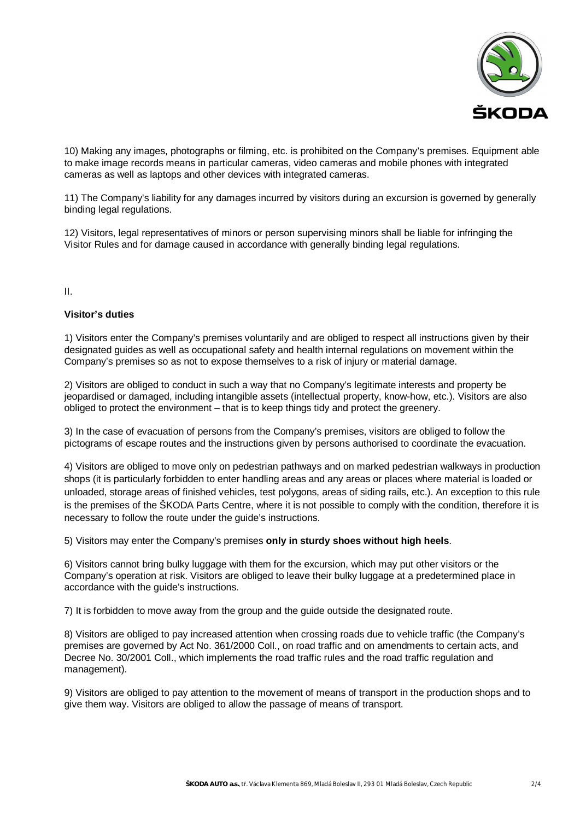

10) Making any images, photographs or filming, etc. is prohibited on the Company's premises. Equipment able to make image records means in particular cameras, video cameras and mobile phones with integrated cameras as well as laptops and other devices with integrated cameras.

11) The Company's liability for any damages incurred by visitors during an excursion is governed by generally binding legal regulations.

12) Visitors, legal representatives of minors or person supervising minors shall be liable for infringing the Visitor Rules and for damage caused in accordance with generally binding legal regulations.

II.

## **Visitor's duties**

1) Visitors enter the Company's premises voluntarily and are obliged to respect all instructions given by their designated guides as well as occupational safety and health internal regulations on movement within the Company's premises so as not to expose themselves to a risk of injury or material damage.

2) Visitors are obliged to conduct in such a way that no Company's legitimate interests and property be jeopardised or damaged, including intangible assets (intellectual property, know-how, etc.). Visitors are also obliged to protect the environment – that is to keep things tidy and protect the greenery.

3) In the case of evacuation of persons from the Company's premises, visitors are obliged to follow the pictograms of escape routes and the instructions given by persons authorised to coordinate the evacuation.

4) Visitors are obliged to move only on pedestrian pathways and on marked pedestrian walkways in production shops (it is particularly forbidden to enter handling areas and any areas or places where material is loaded or unloaded, storage areas of finished vehicles, test polygons, areas of siding rails, etc.). An exception to this rule is the premises of the ŠKODA Parts Centre, where it is not possible to comply with the condition, therefore it is necessary to follow the route under the guide's instructions.

5) Visitors may enter the Company's premises **only in sturdy shoes without high heels**.

6) Visitors cannot bring bulky luggage with them for the excursion, which may put other visitors or the Company's operation at risk. Visitors are obliged to leave their bulky luggage at a predetermined place in accordance with the guide's instructions.

7) It is forbidden to move away from the group and the guide outside the designated route.

8) Visitors are obliged to pay increased attention when crossing roads due to vehicle traffic (the Company's premises are governed by Act No. 361/2000 Coll., on road traffic and on amendments to certain acts, and Decree No. 30/2001 Coll., which implements the road traffic rules and the road traffic regulation and management).

9) Visitors are obliged to pay attention to the movement of means of transport in the production shops and to give them way. Visitors are obliged to allow the passage of means of transport.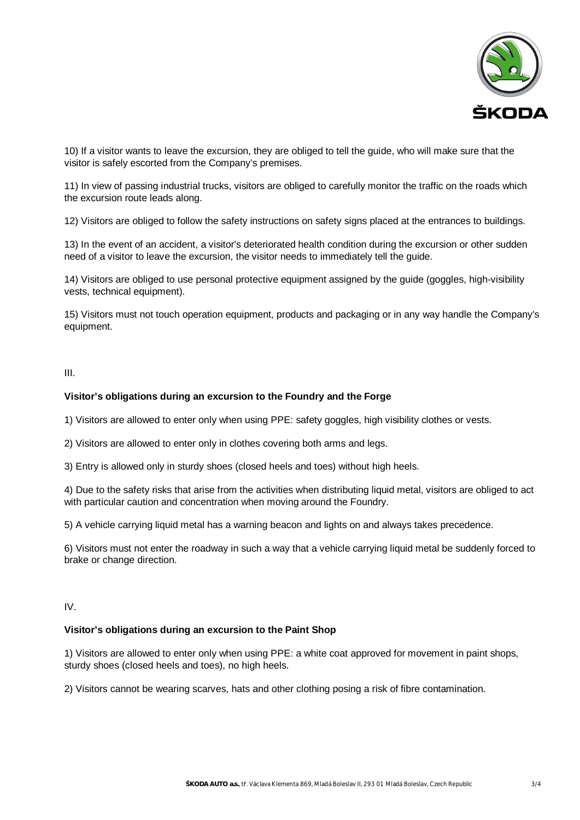

10) If a visitor wants to leave the excursion, they are obliged to tell the guide, who will make sure that the visitor is safely escorted from the Company's premises.

11) In view of passing industrial trucks, visitors are obliged to carefully monitor the traffic on the roads which the excursion route leads along.

12) Visitors are obliged to follow the safety instructions on safety signs placed at the entrances to buildings.

13) In the event of an accident, a visitor's deteriorated health condition during the excursion or other sudden need of a visitor to leave the excursion, the visitor needs to immediately tell the guide.

14) Visitors are obliged to use personal protective equipment assigned by the guide (goggles, high-visibility vests, technical equipment).

15) Visitors must not touch operation equipment, products and packaging or in any way handle the Company's equipment.

#### III.

## **Visitor's obligations during an excursion to the Foundry and the Forge**

1) Visitors are allowed to enter only when using PPE: safety goggles, high visibility clothes or vests.

2) Visitors are allowed to enter only in clothes covering both arms and legs.

3) Entry is allowed only in sturdy shoes (closed heels and toes) without high heels.

4) Due to the safety risks that arise from the activities when distributing liquid metal, visitors are obliged to act with particular caution and concentration when moving around the Foundry.

5) A vehicle carrying liquid metal has a warning beacon and lights on and always takes precedence.

6) Visitors must not enter the roadway in such a way that a vehicle carrying liquid metal be suddenly forced to brake or change direction.

IV.

#### **Visitor's obligations during an excursion to the Paint Shop**

1) Visitors are allowed to enter only when using PPE: a white coat approved for movement in paint shops, sturdy shoes (closed heels and toes), no high heels.

2) Visitors cannot be wearing scarves, hats and other clothing posing a risk of fibre contamination.